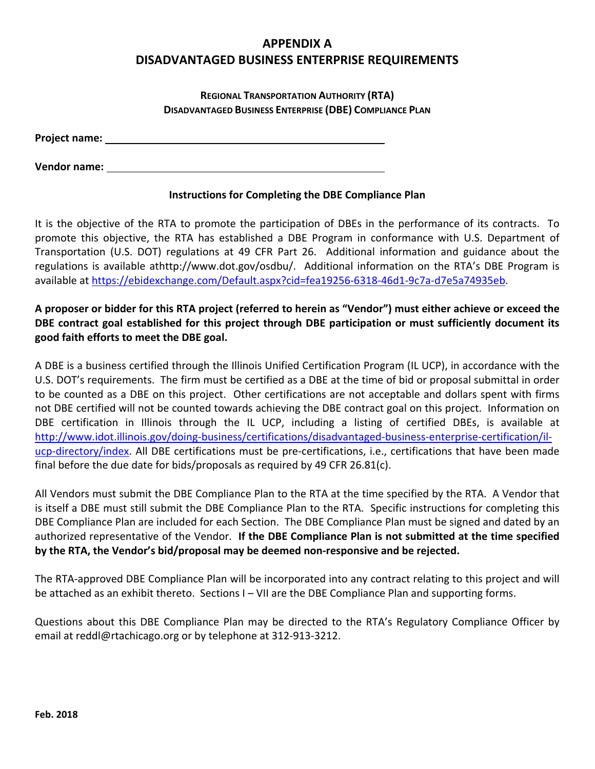# **APPENDIX A DISADVANTAGED BUSINESS ENTERPRISE REQUIREMENTS**

# **REGIONAL TRANSPORTATION AUTHORITY (RTA) DISADVANTAGED BUSINESS ENTERPRISE (DBE) COMPLIANCE PLAN**

**Project name:** 

**Vendor name:** 

# **Instructions for Completing the DBE Compliance Plan**

It is the objective of the RTA to promote the participation of DBEs in the performance of its contracts. To promote this objective, the RTA has established a DBE Program in conformance with U.S. Department of Transportation (U.S. DOT) regulations at 49 CFR Part 26. Additional information and guidance about the regulations is available athttp://www.dot.gov/osdbu/. Additional information on the RTA's DBE Program is available at https://ebidexchange.com/Default.aspx?cid=fea19256‐6318‐46d1‐9c7a‐d7e5a74935eb.

# A proposer or bidder for this RTA project (referred to herein as "Vendor") must either achieve or exceed the **DBE contract goal established for this project through DBE participation or must sufficiently document its good faith efforts to meet the DBE goal.**

A DBE is a business certified through the Illinois Unified Certification Program (IL UCP), in accordance with the U.S. DOT's requirements. The firm must be certified as a DBE at the time of bid or proposal submittal in order to be counted as a DBE on this project. Other certifications are not acceptable and dollars spent with firms not DBE certified will not be counted towards achieving the DBE contract goal on this project. Information on DBE certification in Illinois through the IL UCP, including a listing of certified DBEs, is available at http://www.idot.illinois.gov/doing-business/certifications/disadvantaged-business-enterprise-certification/ilucp-directory/index. All DBE certifications must be pre-certifications, i.e., certifications that have been made final before the due date for bids/proposals as required by 49 CFR 26.81(c).

All Vendors must submit the DBE Compliance Plan to the RTA at the time specified by the RTA. A Vendor that is itself a DBE must still submit the DBE Compliance Plan to the RTA. Specific instructions for completing this DBE Compliance Plan are included for each Section. The DBE Compliance Plan must be signed and dated by an authorized representative of the Vendor. **If the DBE Compliance Plan is not submitted at the time specified by the RTA, the Vendor's bid/proposal may be deemed non‐responsive and be rejected.**

The RTA‐approved DBE Compliance Plan will be incorporated into any contract relating to this project and will be attached as an exhibit thereto. Sections I – VII are the DBE Compliance Plan and supporting forms.

Questions about this DBE Compliance Plan may be directed to the RTA's Regulatory Compliance Officer by email at reddl@rtachicago.org or by telephone at 312‐913‐3212.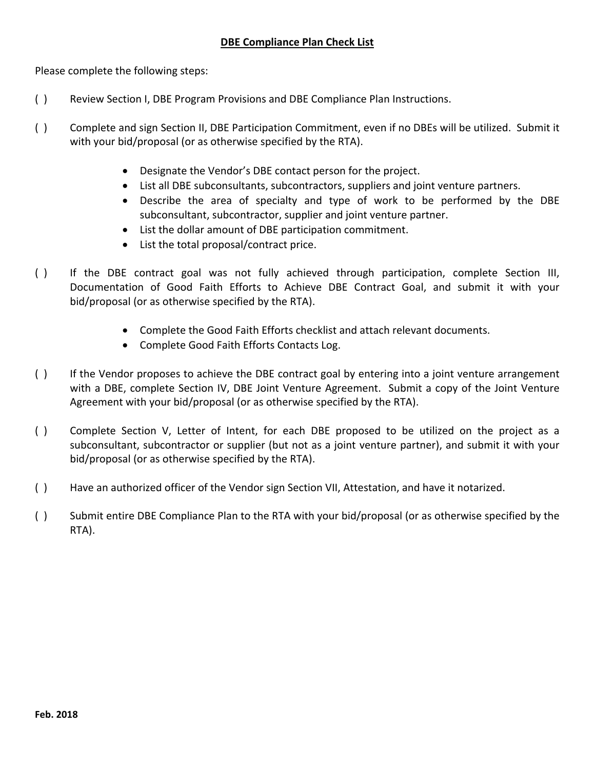Please complete the following steps:

- ( ) Review Section I, DBE Program Provisions and DBE Compliance Plan Instructions.
- ( ) Complete and sign Section II, DBE Participation Commitment, even if no DBEs will be utilized. Submit it with your bid/proposal (or as otherwise specified by the RTA).
	- Designate the Vendor's DBE contact person for the project.
	- List all DBE subconsultants, subcontractors, suppliers and joint venture partners.
	- Describe the area of specialty and type of work to be performed by the DBE subconsultant, subcontractor, supplier and joint venture partner.
	- List the dollar amount of DBE participation commitment.
	- List the total proposal/contract price.
- ( ) If the DBE contract goal was not fully achieved through participation, complete Section III, Documentation of Good Faith Efforts to Achieve DBE Contract Goal, and submit it with your bid/proposal (or as otherwise specified by the RTA).
	- Complete the Good Faith Efforts checklist and attach relevant documents.
	- Complete Good Faith Efforts Contacts Log.
- () If the Vendor proposes to achieve the DBE contract goal by entering into a joint venture arrangement with a DBE, complete Section IV, DBE Joint Venture Agreement. Submit a copy of the Joint Venture Agreement with your bid/proposal (or as otherwise specified by the RTA).
- ( ) Complete Section V, Letter of Intent, for each DBE proposed to be utilized on the project as a subconsultant, subcontractor or supplier (but not as a joint venture partner), and submit it with your bid/proposal (or as otherwise specified by the RTA).
- ( ) Have an authorized officer of the Vendor sign Section VII, Attestation, and have it notarized.
- ( ) Submit entire DBE Compliance Plan to the RTA with your bid/proposal (or as otherwise specified by the RTA).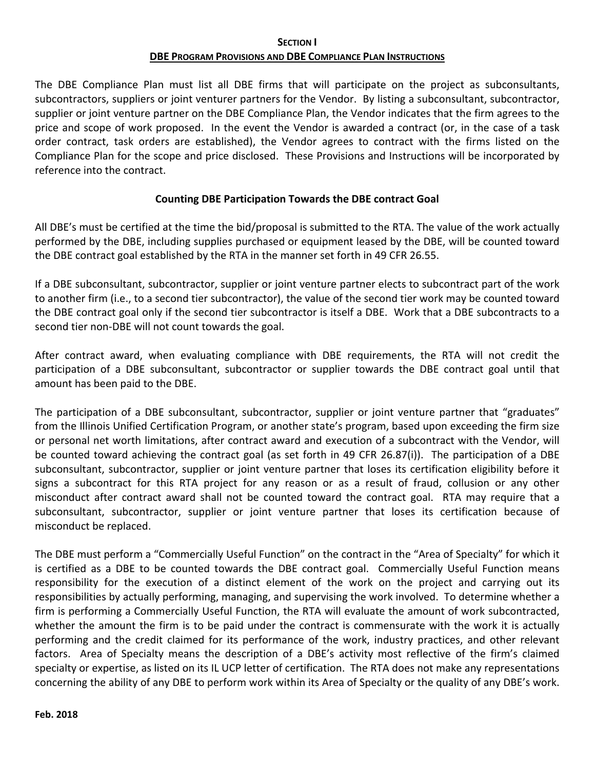### **SECTION I DBE PROGRAM PROVISIONS AND DBE COMPLIANCE PLAN INSTRUCTIONS**

The DBE Compliance Plan must list all DBE firms that will participate on the project as subconsultants, subcontractors, suppliers or joint venturer partners for the Vendor. By listing a subconsultant, subcontractor, supplier or joint venture partner on the DBE Compliance Plan, the Vendor indicates that the firm agrees to the price and scope of work proposed. In the event the Vendor is awarded a contract (or, in the case of a task order contract, task orders are established), the Vendor agrees to contract with the firms listed on the Compliance Plan for the scope and price disclosed. These Provisions and Instructions will be incorporated by reference into the contract.

# **Counting DBE Participation Towards the DBE contract Goal**

All DBE's must be certified at the time the bid/proposal is submitted to the RTA. The value of the work actually performed by the DBE, including supplies purchased or equipment leased by the DBE, will be counted toward the DBE contract goal established by the RTA in the manner set forth in 49 CFR 26.55.

If a DBE subconsultant, subcontractor, supplier or joint venture partner elects to subcontract part of the work to another firm (i.e., to a second tier subcontractor), the value of the second tier work may be counted toward the DBE contract goal only if the second tier subcontractor is itself a DBE. Work that a DBE subcontracts to a second tier non‐DBE will not count towards the goal.

After contract award, when evaluating compliance with DBE requirements, the RTA will not credit the participation of a DBE subconsultant, subcontractor or supplier towards the DBE contract goal until that amount has been paid to the DBE.

The participation of a DBE subconsultant, subcontractor, supplier or joint venture partner that "graduates" from the Illinois Unified Certification Program, or another state's program, based upon exceeding the firm size or personal net worth limitations, after contract award and execution of a subcontract with the Vendor, will be counted toward achieving the contract goal (as set forth in 49 CFR 26.87(i)). The participation of a DBE subconsultant, subcontractor, supplier or joint venture partner that loses its certification eligibility before it signs a subcontract for this RTA project for any reason or as a result of fraud, collusion or any other misconduct after contract award shall not be counted toward the contract goal. RTA may require that a subconsultant, subcontractor, supplier or joint venture partner that loses its certification because of misconduct be replaced.

The DBE must perform a "Commercially Useful Function" on the contract in the "Area of Specialty" for which it is certified as a DBE to be counted towards the DBE contract goal. Commercially Useful Function means responsibility for the execution of a distinct element of the work on the project and carrying out its responsibilities by actually performing, managing, and supervising the work involved. To determine whether a firm is performing a Commercially Useful Function, the RTA will evaluate the amount of work subcontracted, whether the amount the firm is to be paid under the contract is commensurate with the work it is actually performing and the credit claimed for its performance of the work, industry practices, and other relevant factors. Area of Specialty means the description of a DBE's activity most reflective of the firm's claimed specialty or expertise, as listed on its IL UCP letter of certification. The RTA does not make any representations concerning the ability of any DBE to perform work within its Area of Specialty or the quality of any DBE's work.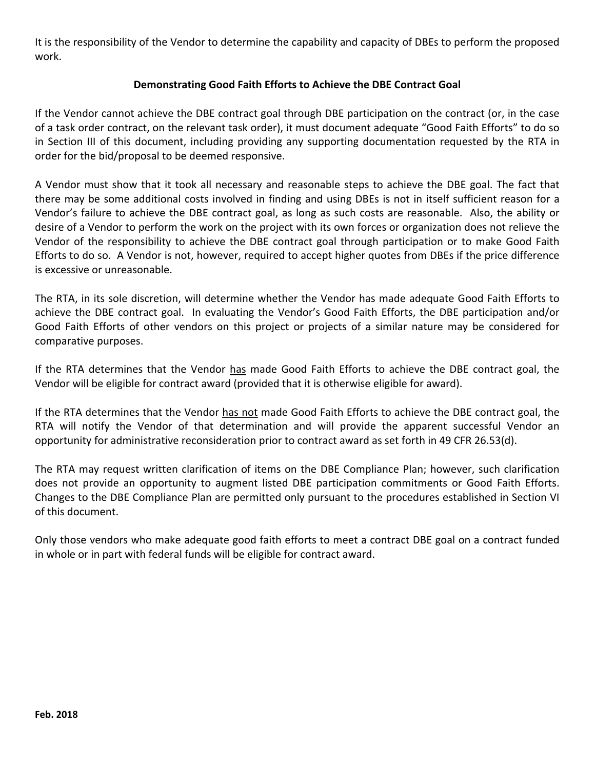It is the responsibility of the Vendor to determine the capability and capacity of DBEs to perform the proposed work.

# **Demonstrating Good Faith Efforts to Achieve the DBE Contract Goal**

If the Vendor cannot achieve the DBE contract goal through DBE participation on the contract (or, in the case of a task order contract, on the relevant task order), it must document adequate "Good Faith Efforts" to do so in Section III of this document, including providing any supporting documentation requested by the RTA in order for the bid/proposal to be deemed responsive.

A Vendor must show that it took all necessary and reasonable steps to achieve the DBE goal. The fact that there may be some additional costs involved in finding and using DBEs is not in itself sufficient reason for a Vendor's failure to achieve the DBE contract goal, as long as such costs are reasonable. Also, the ability or desire of a Vendor to perform the work on the project with its own forces or organization does not relieve the Vendor of the responsibility to achieve the DBE contract goal through participation or to make Good Faith Efforts to do so. A Vendor is not, however, required to accept higher quotes from DBEs if the price difference is excessive or unreasonable.

The RTA, in its sole discretion, will determine whether the Vendor has made adequate Good Faith Efforts to achieve the DBE contract goal. In evaluating the Vendor's Good Faith Efforts, the DBE participation and/or Good Faith Efforts of other vendors on this project or projects of a similar nature may be considered for comparative purposes.

If the RTA determines that the Vendor has made Good Faith Efforts to achieve the DBE contract goal, the Vendor will be eligible for contract award (provided that it is otherwise eligible for award).

If the RTA determines that the Vendor has not made Good Faith Efforts to achieve the DBE contract goal, the RTA will notify the Vendor of that determination and will provide the apparent successful Vendor an opportunity for administrative reconsideration prior to contract award as set forth in 49 CFR 26.53(d).

The RTA may request written clarification of items on the DBE Compliance Plan; however, such clarification does not provide an opportunity to augment listed DBE participation commitments or Good Faith Efforts. Changes to the DBE Compliance Plan are permitted only pursuant to the procedures established in Section VI of this document.

Only those vendors who make adequate good faith efforts to meet a contract DBE goal on a contract funded in whole or in part with federal funds will be eligible for contract award.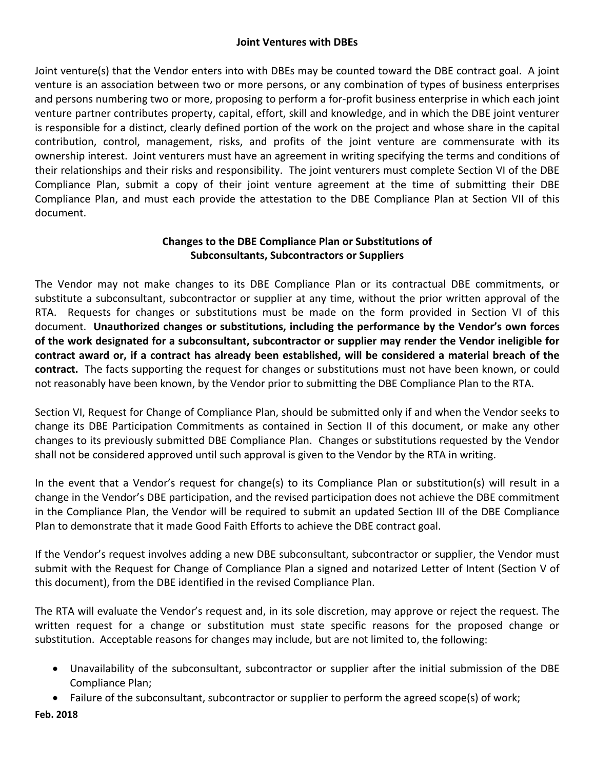# **Joint Ventures with DBEs**

Joint venture(s) that the Vendor enters into with DBEs may be counted toward the DBE contract goal. A joint venture is an association between two or more persons, or any combination of types of business enterprises and persons numbering two or more, proposing to perform a for‐profit business enterprise in which each joint venture partner contributes property, capital, effort, skill and knowledge, and in which the DBE joint venturer is responsible for a distinct, clearly defined portion of the work on the project and whose share in the capital contribution, control, management, risks, and profits of the joint venture are commensurate with its ownership interest. Joint venturers must have an agreement in writing specifying the terms and conditions of their relationships and their risks and responsibility. The joint venturers must complete Section VI of the DBE Compliance Plan, submit a copy of their joint venture agreement at the time of submitting their DBE Compliance Plan, and must each provide the attestation to the DBE Compliance Plan at Section VII of this document.

# **Changes to the DBE Compliance Plan or Substitutions of Subconsultants, Subcontractors or Suppliers**

The Vendor may not make changes to its DBE Compliance Plan or its contractual DBE commitments, or substitute a subconsultant, subcontractor or supplier at any time, without the prior written approval of the RTA. Requests for changes or substitutions must be made on the form provided in Section VI of this document. **Unauthorized changes or substitutions, including the performance by the Vendor's own forces of the work designated for a subconsultant, subcontractor or supplier may render the Vendor ineligible for** contract award or, if a contract has already been established, will be considered a material breach of the **contract.** The facts supporting the request for changes or substitutions must not have been known, or could not reasonably have been known, by the Vendor prior to submitting the DBE Compliance Plan to the RTA.

Section VI, Request for Change of Compliance Plan, should be submitted only if and when the Vendor seeks to change its DBE Participation Commitments as contained in Section II of this document, or make any other changes to its previously submitted DBE Compliance Plan. Changes or substitutions requested by the Vendor shall not be considered approved until such approval is given to the Vendor by the RTA in writing.

In the event that a Vendor's request for change(s) to its Compliance Plan or substitution(s) will result in a change in the Vendor's DBE participation, and the revised participation does not achieve the DBE commitment in the Compliance Plan, the Vendor will be required to submit an updated Section III of the DBE Compliance Plan to demonstrate that it made Good Faith Efforts to achieve the DBE contract goal.

If the Vendor's request involves adding a new DBE subconsultant, subcontractor or supplier, the Vendor must submit with the Request for Change of Compliance Plan a signed and notarized Letter of Intent (Section V of this document), from the DBE identified in the revised Compliance Plan.

The RTA will evaluate the Vendor's request and, in its sole discretion, may approve or reject the request. The written request for a change or substitution must state specific reasons for the proposed change or substitution. Acceptable reasons for changes may include, but are not limited to, the following:

- Unavailability of the subconsultant, subcontractor or supplier after the initial submission of the DBE Compliance Plan;
- Failure of the subconsultant, subcontractor or supplier to perform the agreed scope(s) of work;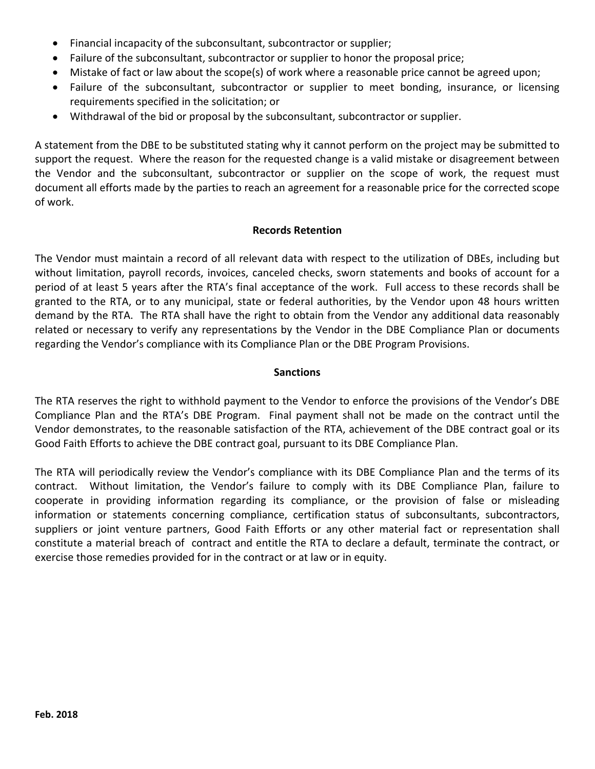- Financial incapacity of the subconsultant, subcontractor or supplier;
- Failure of the subconsultant, subcontractor or supplier to honor the proposal price;
- Mistake of fact or law about the scope(s) of work where a reasonable price cannot be agreed upon;
- Failure of the subconsultant, subcontractor or supplier to meet bonding, insurance, or licensing requirements specified in the solicitation; or
- Withdrawal of the bid or proposal by the subconsultant, subcontractor or supplier.

A statement from the DBE to be substituted stating why it cannot perform on the project may be submitted to support the request. Where the reason for the requested change is a valid mistake or disagreement between the Vendor and the subconsultant, subcontractor or supplier on the scope of work, the request must document all efforts made by the parties to reach an agreement for a reasonable price for the corrected scope of work.

#### **Records Retention**

The Vendor must maintain a record of all relevant data with respect to the utilization of DBEs, including but without limitation, payroll records, invoices, canceled checks, sworn statements and books of account for a period of at least 5 years after the RTA's final acceptance of the work. Full access to these records shall be granted to the RTA, or to any municipal, state or federal authorities, by the Vendor upon 48 hours written demand by the RTA. The RTA shall have the right to obtain from the Vendor any additional data reasonably related or necessary to verify any representations by the Vendor in the DBE Compliance Plan or documents regarding the Vendor's compliance with its Compliance Plan or the DBE Program Provisions.

#### **Sanctions**

The RTA reserves the right to withhold payment to the Vendor to enforce the provisions of the Vendor's DBE Compliance Plan and the RTA's DBE Program. Final payment shall not be made on the contract until the Vendor demonstrates, to the reasonable satisfaction of the RTA, achievement of the DBE contract goal or its Good Faith Efforts to achieve the DBE contract goal, pursuant to its DBE Compliance Plan.

The RTA will periodically review the Vendor's compliance with its DBE Compliance Plan and the terms of its contract. Without limitation, the Vendor's failure to comply with its DBE Compliance Plan, failure to cooperate in providing information regarding its compliance, or the provision of false or misleading information or statements concerning compliance, certification status of subconsultants, subcontractors, suppliers or joint venture partners, Good Faith Efforts or any other material fact or representation shall constitute a material breach of contract and entitle the RTA to declare a default, terminate the contract, or exercise those remedies provided for in the contract or at law or in equity.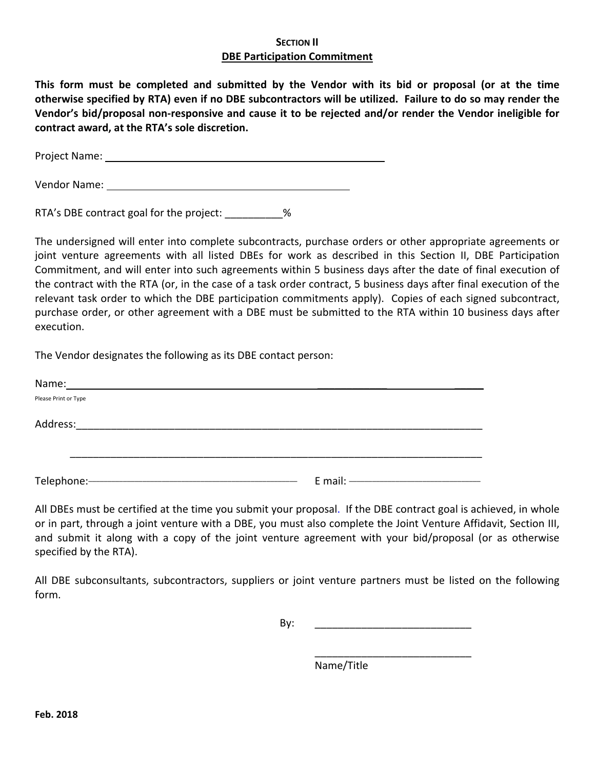### **SECTION II DBE Participation Commitment**

This form must be completed and submitted by the Vendor with its bid or proposal (or at the time otherwise specified by RTA) even if no DBE subcontractors will be utilized. Failure to do so may render the **Vendor's bid/proposal non‐responsive and cause it to be rejected and/or render the Vendor ineligible for contract award, at the RTA's sole discretion.**

Project Name: Name: Name and Allen Manual Allen Manual Allen Manual Allen Manual Allen Manual Allen Manual All

Vendor Name:

RTA's DBE contract goal for the project: \_\_\_\_\_\_\_\_\_\_%

The undersigned will enter into complete subcontracts, purchase orders or other appropriate agreements or joint venture agreements with all listed DBEs for work as described in this Section II, DBE Participation Commitment, and will enter into such agreements within 5 business days after the date of final execution of the contract with the RTA (or, in the case of a task order contract, 5 business days after final execution of the relevant task order to which the DBE participation commitments apply). Copies of each signed subcontract, purchase order, or other agreement with a DBE must be submitted to the RTA within 10 business days after execution.

The Vendor designates the following as its DBE contact person:

| Name:                |  |
|----------------------|--|
| Please Print or Type |  |
| Address:             |  |
|                      |  |
|                      |  |

 $\overline{\phantom{a}}$  , which is a set of the contract of the contract of the contract of the contract of the contract of the contract of the contract of the contract of the contract of the contract of the contract of the contract

All DBEs must be certified at the time you submit your proposal. If the DBE contract goal is achieved, in whole or in part, through a joint venture with a DBE, you must also complete the Joint Venture Affidavit, Section III, and submit it along with a copy of the joint venture agreement with your bid/proposal (or as otherwise specified by the RTA).

All DBE subconsultants, subcontractors, suppliers or joint venture partners must be listed on the following form.

By: \_\_\_\_\_\_\_\_\_\_\_\_\_\_\_\_\_\_\_\_\_\_\_\_\_\_\_

Name/Title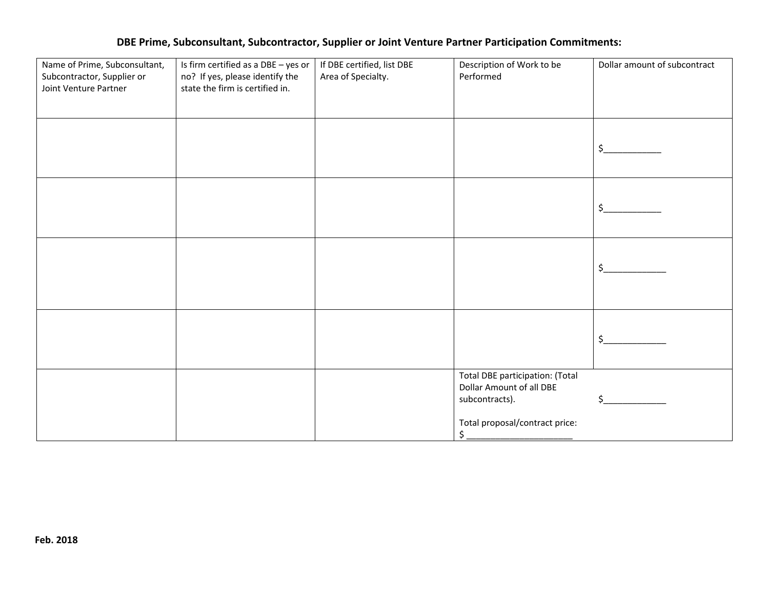#### **DBE Prime, Subconsultant, Subcontractor, Supplier or Joint Venture Partner Participation Commitments:**

| Name of Prime, Subconsultant,<br>Subcontractor, Supplier or<br>Joint Venture Partner | Is firm certified as a DBE - yes or<br>no? If yes, please identify the<br>state the firm is certified in. | If DBE certified, list DBE<br>Area of Specialty. | Description of Work to be<br>Performed                                                                                            | Dollar amount of subcontract |
|--------------------------------------------------------------------------------------|-----------------------------------------------------------------------------------------------------------|--------------------------------------------------|-----------------------------------------------------------------------------------------------------------------------------------|------------------------------|
|                                                                                      |                                                                                                           |                                                  |                                                                                                                                   | \$                           |
|                                                                                      |                                                                                                           |                                                  |                                                                                                                                   | \$                           |
|                                                                                      |                                                                                                           |                                                  |                                                                                                                                   | \$                           |
|                                                                                      |                                                                                                           |                                                  |                                                                                                                                   | $\zeta$                      |
|                                                                                      |                                                                                                           |                                                  | Total DBE participation: (Total<br>Dollar Amount of all DBE<br>subcontracts).<br>Total proposal/contract price:<br>$\mathsf{S}\,$ | ς                            |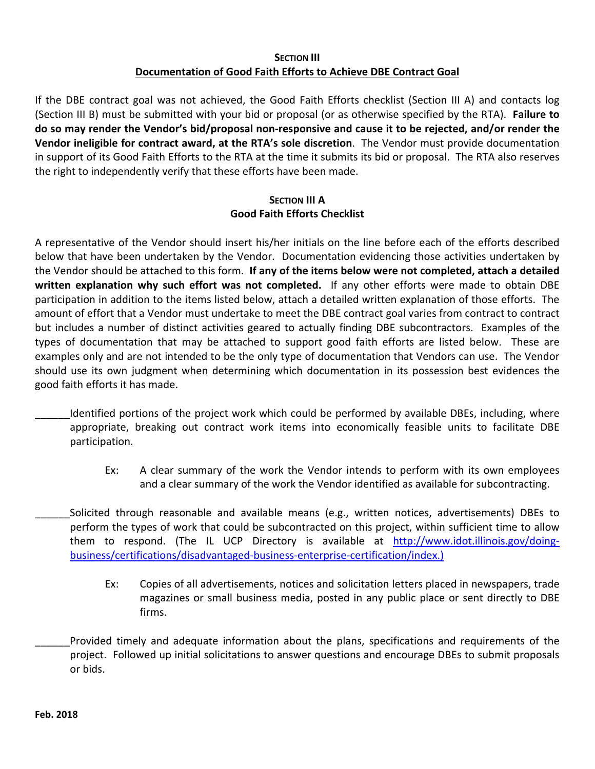# **SECTION III Documentation of Good Faith Efforts to Achieve DBE Contract Goal**

If the DBE contract goal was not achieved, the Good Faith Efforts checklist (Section III A) and contacts log (Section III B) must be submitted with your bid or proposal (or as otherwise specified by the RTA). **Failure to** do so may render the Vendor's bid/proposal non-responsive and cause it to be rejected, and/or render the **Vendor ineligible for contract award, at the RTA's sole discretion**. The Vendor must provide documentation in support of its Good Faith Efforts to the RTA at the time it submits its bid or proposal. The RTA also reserves the right to independently verify that these efforts have been made.

# **SECTION III A Good Faith Efforts Checklist**

A representative of the Vendor should insert his/her initials on the line before each of the efforts described below that have been undertaken by the Vendor. Documentation evidencing those activities undertaken by the Vendor should be attached to this form. **If any of the items below were not completed, attach a detailed written explanation why such effort was not completed.**  If any other efforts were made to obtain DBE participation in addition to the items listed below, attach a detailed written explanation of those efforts. The amount of effort that a Vendor must undertake to meet the DBE contract goal varies from contract to contract but includes a number of distinct activities geared to actually finding DBE subcontractors. Examples of the types of documentation that may be attached to support good faith efforts are listed below. These are examples only and are not intended to be the only type of documentation that Vendors can use. The Vendor should use its own judgment when determining which documentation in its possession best evidences the good faith efforts it has made.

- Identified portions of the project work which could be performed by available DBEs, including, where appropriate, breaking out contract work items into economically feasible units to facilitate DBE participation.
	- Ex: A clear summary of the work the Vendor intends to perform with its own employees and a clear summary of the work the Vendor identified as available for subcontracting.
- Solicited through reasonable and available means (e.g., written notices, advertisements) DBEs to perform the types of work that could be subcontracted on this project, within sufficient time to allow them to respond. (The IL UCP Directory is available at http://www.idot.illinois.gov/doing‐ business/certifications/disadvantaged‐business‐enterprise‐certification/index.)
	- Ex: Copies of all advertisements, notices and solicitation letters placed in newspapers, trade magazines or small business media, posted in any public place or sent directly to DBE firms.
- Provided timely and adequate information about the plans, specifications and requirements of the project. Followed up initial solicitations to answer questions and encourage DBEs to submit proposals or bids.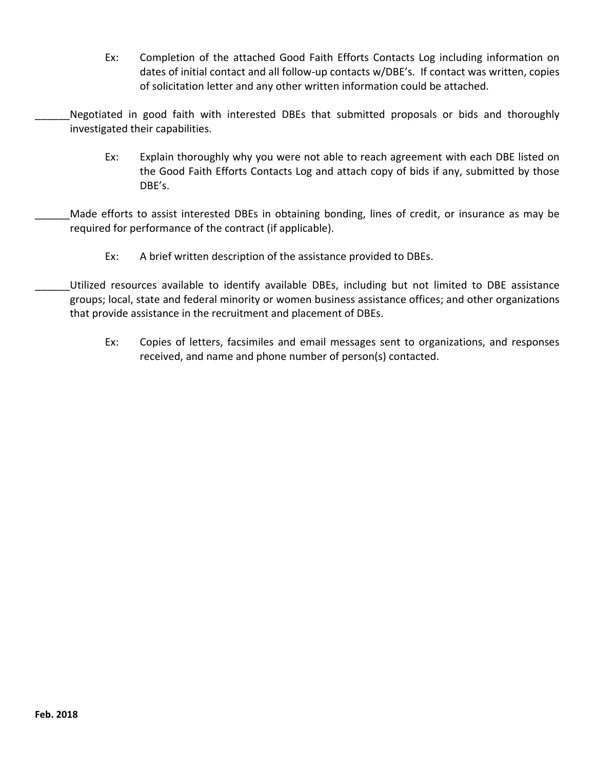- Ex: Completion of the attached Good Faith Efforts Contacts Log including information on dates of initial contact and all follow‐up contacts w/DBE's. If contact was written, copies of solicitation letter and any other written information could be attached.
- Negotiated in good faith with interested DBEs that submitted proposals or bids and thoroughly investigated their capabilities.
	- Ex: Explain thoroughly why you were not able to reach agreement with each DBE listed on the Good Faith Efforts Contacts Log and attach copy of bids if any, submitted by those DBE's.
- Made efforts to assist interested DBEs in obtaining bonding, lines of credit, or insurance as may be required for performance of the contract (if applicable).
	- Ex: A brief written description of the assistance provided to DBEs.
- Utilized resources available to identify available DBEs, including but not limited to DBE assistance groups; local, state and federal minority or women business assistance offices; and other organizations that provide assistance in the recruitment and placement of DBEs.
	- Ex: Copies of letters, facsimiles and email messages sent to organizations, and responses received, and name and phone number of person(s) contacted.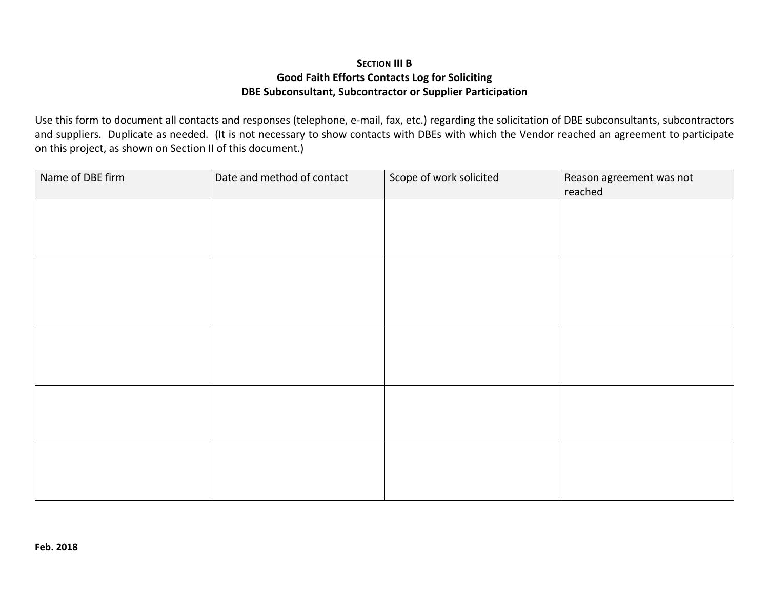# **SECTION III B Good Faith Efforts Contacts Log for Soliciting DBE Subconsultant, Subcontractor or Supplier Participation**

Use this form to document all contacts and responses (telephone, <sup>e</sup>‐mail, fax, etc.) regarding the solicitation of DBE subconsultants, subcontractors and suppliers. Duplicate as needed. (It is not necessary to show contacts with DBEs with which the Vendor reached an agreement to participate on this project, as shown on Section II of this document.)

| Name of DBE firm | Date and method of contact | Scope of work solicited | Reason agreement was not<br>reached |
|------------------|----------------------------|-------------------------|-------------------------------------|
|                  |                            |                         |                                     |
|                  |                            |                         |                                     |
|                  |                            |                         |                                     |
|                  |                            |                         |                                     |
|                  |                            |                         |                                     |
|                  |                            |                         |                                     |
|                  |                            |                         |                                     |
|                  |                            |                         |                                     |
|                  |                            |                         |                                     |
|                  |                            |                         |                                     |
|                  |                            |                         |                                     |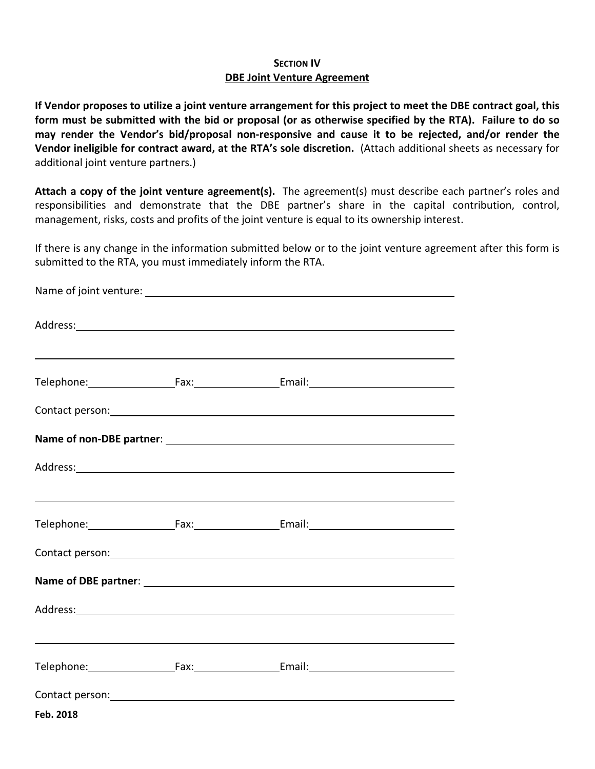## **SECTION IV DBE Joint Venture Agreement**

If Vendor proposes to utilize a joint venture arrangement for this project to meet the DBE contract goal, this form must be submitted with the bid or proposal (or as otherwise specified by the RTA). Failure to do so **may render the Vendor's bid/proposal non‐responsive and cause it to be rejected, and/or render the Vendor ineligible for contract award, at the RTA's sole discretion.** (Attach additional sheets as necessary for additional joint venture partners.)

**Attach a copy of the joint venture agreement(s).** The agreement(s) must describe each partner's roles and responsibilities and demonstrate that the DBE partner's share in the capital contribution, control, management, risks, costs and profits of the joint venture is equal to its ownership interest.

If there is any change in the information submitted below or to the joint venture agreement after this form is submitted to the RTA, you must immediately inform the RTA.

|           | Contact person: Note and the contract of the contract of the contract of the contract of the contract of the contract of the contract of the contract of the contract of the contract of the contract of the contract of the c |  |
|-----------|--------------------------------------------------------------------------------------------------------------------------------------------------------------------------------------------------------------------------------|--|
| Feb. 2018 |                                                                                                                                                                                                                                |  |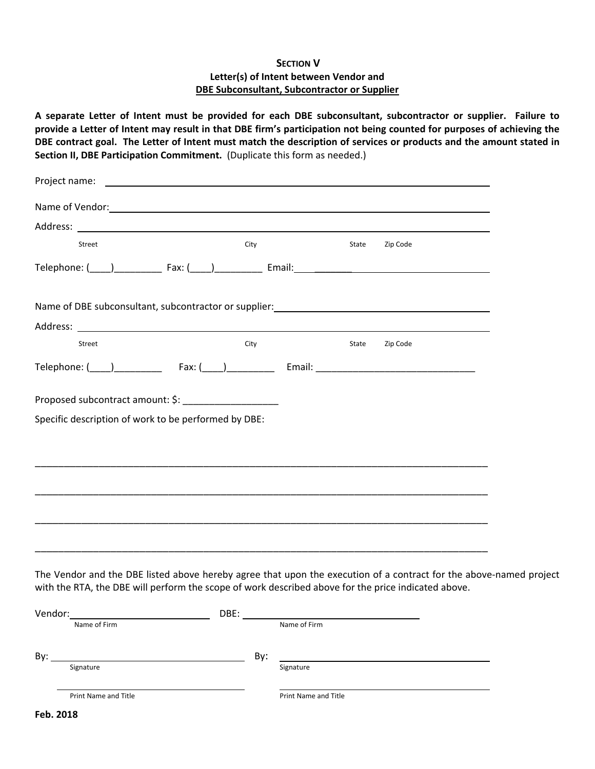#### **SECTION V Letter(s) of Intent between Vendor and DBE Subconsultant, Subcontractor or Supplier**

A separate Letter of Intent must be provided for each DBE subconsultant, subcontractor or supplier. Failure to provide a Letter of Intent may result in that DBE firm's participation not being counted for purposes of achieving the DBE contract goal. The Letter of Intent must match the description of services or products and the amount stated in **Section II, DBE Participation Commitment.** (Duplicate this form as needed.)

| Name of Vendor: 1999 and 2009 and 2009 and 2009 and 2009 and 2009 and 2009 and 2009 and 2009 and 2009 and 2009 $\mu$ |      |       |          |
|----------------------------------------------------------------------------------------------------------------------|------|-------|----------|
|                                                                                                                      |      |       |          |
| Street                                                                                                               | City | State | Zip Code |
|                                                                                                                      |      |       |          |
| Name of DBE subconsultant, subcontractor or supplier: Name of DBE Subconsultant, Subcontractor or supplier:          |      |       |          |
|                                                                                                                      |      |       |          |
| Street                                                                                                               | City | State | Zip Code |
|                                                                                                                      |      |       |          |
| Proposed subcontract amount: \$: _______________________                                                             |      |       |          |
| Specific description of work to be performed by DBE:                                                                 |      |       |          |
|                                                                                                                      |      |       |          |
|                                                                                                                      |      |       |          |
|                                                                                                                      |      |       |          |
|                                                                                                                      |      |       |          |
|                                                                                                                      |      |       |          |
|                                                                                                                      |      |       |          |
|                                                                                                                      |      |       |          |

The Vendor and the DBE listed above hereby agree that upon the execution of a contract for the above-named project with the RTA, the DBE will perform the scope of work described above for the price indicated above.

| Vendor:              | DBE:                 |  |
|----------------------|----------------------|--|
| Name of Firm         | Name of Firm         |  |
| By:                  | By:                  |  |
| Signature            | Signature            |  |
| Print Name and Title | Print Name and Title |  |
| $F_{ab}$ 2010        |                      |  |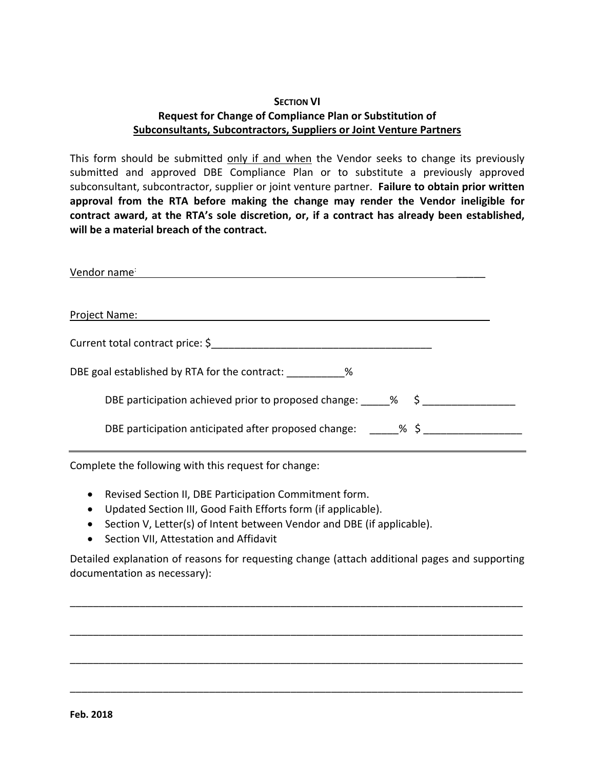# **SECTION VI Request for Change of Compliance Plan or Substitution of Subconsultants, Subcontractors, Suppliers or Joint Venture Partners**

This form should be submitted only if and when the Vendor seeks to change its previously submitted and approved DBE Compliance Plan or to substitute a previously approved subconsultant, subcontractor, supplier or joint venture partner. **Failure to obtain prior written approval from the RTA before making the change may render the Vendor ineligible for contract award, at the RTA's sole discretion, or, if a contract has already been established, will be a material breach of the contract.**

| Vendor name                                                                        |
|------------------------------------------------------------------------------------|
|                                                                                    |
| Project Name:                                                                      |
| Current total contract price: \$                                                   |
| DBE goal established by RTA for the contract: ____________%                        |
| DBE participation achieved prior to proposed change: $\frac{1}{2}$ % $\frac{1}{2}$ |
| DBE participation anticipated after proposed change: $\frac{8}{5}$                 |

Complete the following with this request for change:

- Revised Section II, DBE Participation Commitment form.
- Updated Section III, Good Faith Efforts form (if applicable).
- Section V, Letter(s) of Intent between Vendor and DBE (if applicable).
- **•** Section VII, Attestation and Affidavit

Detailed explanation of reasons for requesting change (attach additional pages and supporting documentation as necessary):

\_\_\_\_\_\_\_\_\_\_\_\_\_\_\_\_\_\_\_\_\_\_\_\_\_\_\_\_\_\_\_\_\_\_\_\_\_\_\_\_\_\_\_\_\_\_\_\_\_\_\_\_\_\_\_\_\_\_\_\_\_\_\_\_\_\_\_\_\_\_\_\_\_\_\_\_\_\_

\_\_\_\_\_\_\_\_\_\_\_\_\_\_\_\_\_\_\_\_\_\_\_\_\_\_\_\_\_\_\_\_\_\_\_\_\_\_\_\_\_\_\_\_\_\_\_\_\_\_\_\_\_\_\_\_\_\_\_\_\_\_\_\_\_\_\_\_\_\_\_\_\_\_\_\_\_\_

\_\_\_\_\_\_\_\_\_\_\_\_\_\_\_\_\_\_\_\_\_\_\_\_\_\_\_\_\_\_\_\_\_\_\_\_\_\_\_\_\_\_\_\_\_\_\_\_\_\_\_\_\_\_\_\_\_\_\_\_\_\_\_\_\_\_\_\_\_\_\_\_\_\_\_\_\_\_

\_\_\_\_\_\_\_\_\_\_\_\_\_\_\_\_\_\_\_\_\_\_\_\_\_\_\_\_\_\_\_\_\_\_\_\_\_\_\_\_\_\_\_\_\_\_\_\_\_\_\_\_\_\_\_\_\_\_\_\_\_\_\_\_\_\_\_\_\_\_\_\_\_\_\_\_\_\_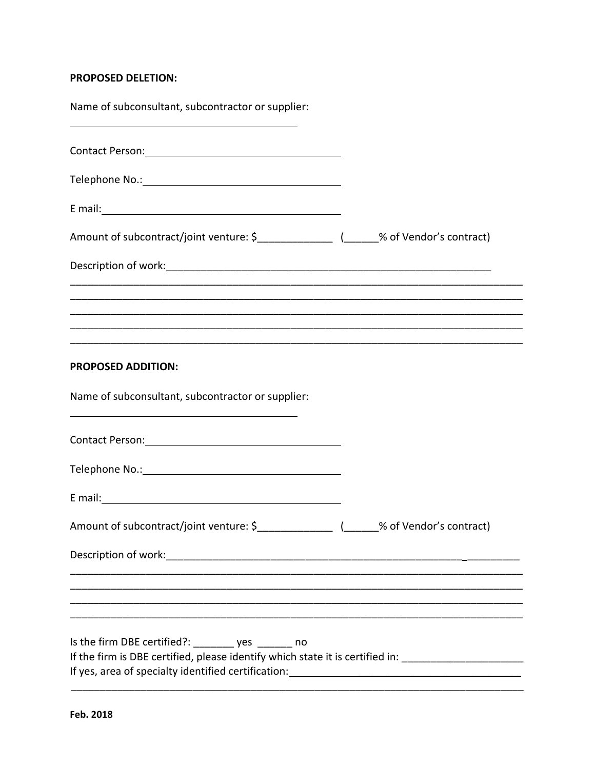#### **PROPOSED DELETION:**

| Name of subconsultant, subcontractor or supplier:                                                                                                                   |  |
|---------------------------------------------------------------------------------------------------------------------------------------------------------------------|--|
| Contact Person: Manual According to the Contact Person:                                                                                                             |  |
|                                                                                                                                                                     |  |
|                                                                                                                                                                     |  |
|                                                                                                                                                                     |  |
|                                                                                                                                                                     |  |
|                                                                                                                                                                     |  |
|                                                                                                                                                                     |  |
| <b>PROPOSED ADDITION:</b>                                                                                                                                           |  |
| Name of subconsultant, subcontractor or supplier:                                                                                                                   |  |
|                                                                                                                                                                     |  |
|                                                                                                                                                                     |  |
|                                                                                                                                                                     |  |
| Amount of subcontract/joint venture: \$_________________(______% of Vendor's contract)                                                                              |  |
|                                                                                                                                                                     |  |
|                                                                                                                                                                     |  |
|                                                                                                                                                                     |  |
| Is the firm DBE certified?: _______ yes ______ no<br>If the firm is DBE certified, please identify which state it is certified in: ________________________________ |  |
| If yes, area of specialty identified certification: Internal and the manufacture of the state of specialty identified certification:                                |  |